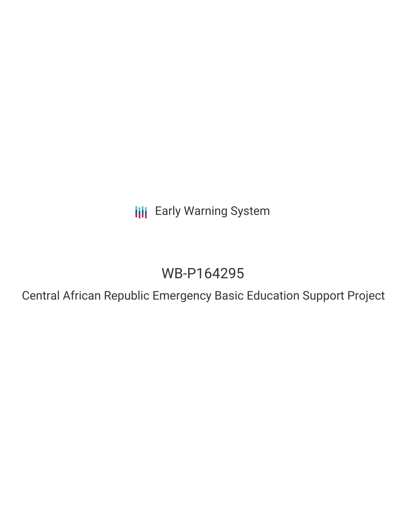**III** Early Warning System

# WB-P164295

Central African Republic Emergency Basic Education Support Project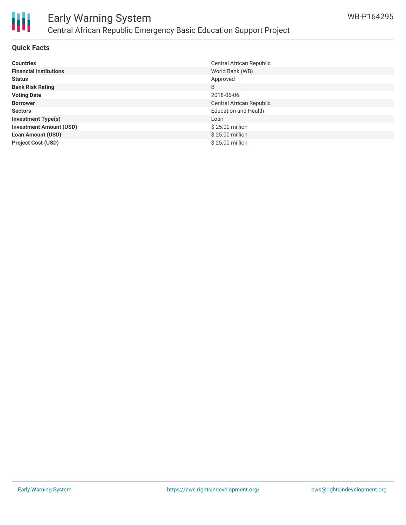

# Early Warning System Central African Republic Emergency Basic Education Support Project

### **Quick Facts**

| <b>Countries</b>               | Central African Republic    |
|--------------------------------|-----------------------------|
| <b>Financial Institutions</b>  | World Bank (WB)             |
| <b>Status</b>                  | Approved                    |
| <b>Bank Risk Rating</b>        | B                           |
| <b>Voting Date</b>             | 2018-06-06                  |
| <b>Borrower</b>                | Central African Republic    |
| <b>Sectors</b>                 | <b>Education and Health</b> |
| <b>Investment Type(s)</b>      | Loan                        |
| <b>Investment Amount (USD)</b> | \$25.00 million             |
| <b>Loan Amount (USD)</b>       | \$25.00 million             |
| <b>Project Cost (USD)</b>      | \$25.00 million             |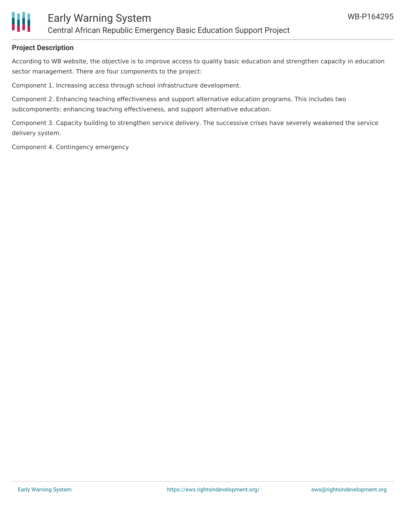

### **Project Description**

According to WB website, the objective is to improve access to quality basic education and strengthen capacity in education sector management. There are four components to the project:

Component 1. Increasing access through school infrastructure development.

Component 2. Enhancing teaching effectiveness and support alternative education programs. This includes two subcomponents: enhancing teaching effectiveness, and support alternative education.

Component 3. Capacity building to strengthen service delivery. The successive crises have severely weakened the service delivery system.

Component 4. Contingency emergency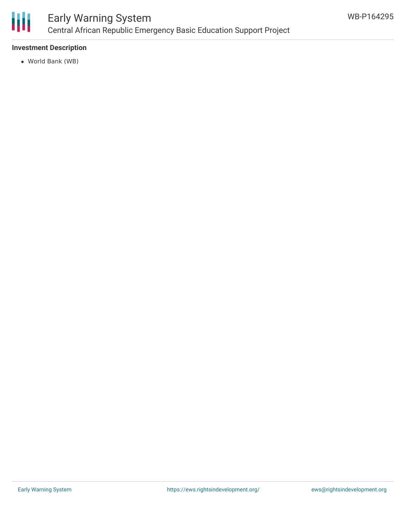

# Early Warning System Central African Republic Emergency Basic Education Support Project

### **Investment Description**

World Bank (WB)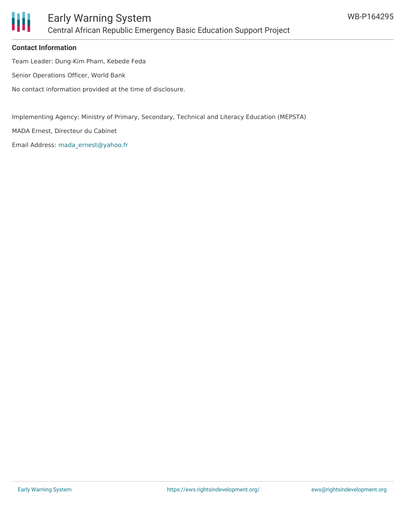

## Early Warning System Central African Republic Emergency Basic Education Support Project

### **Contact Information**

Team Leader: Dung-Kim Pham, Kebede Feda

Senior Operations Officer, World Bank

No contact information provided at the time of disclosure.

Implementing Agency: Ministry of Primary, Secondary, Technical and Literacy Education (MEPSTA)

MADA Ernest, Directeur du Cabinet

Email Address: [mada\\_ernest@yahoo.fr](mailto:mada_ernest@yahoo.fr)